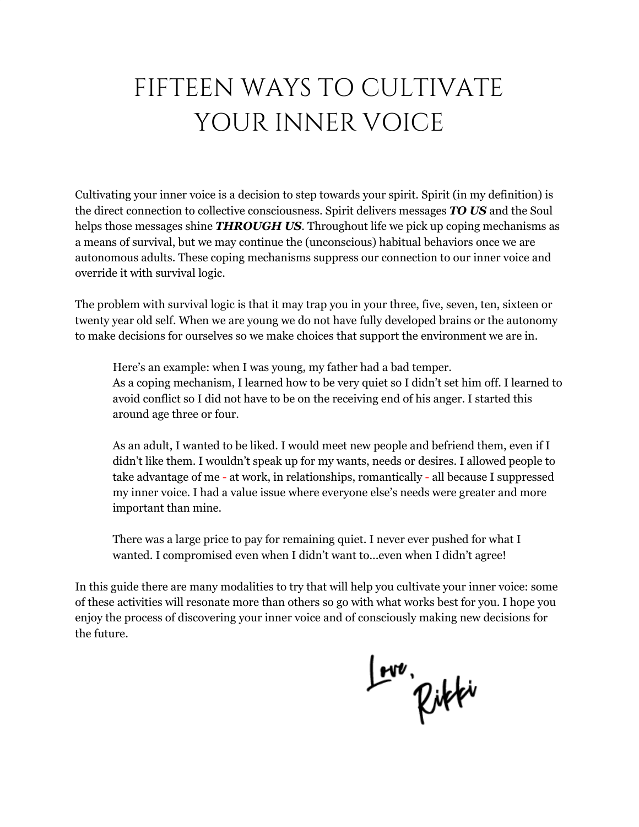# FIFTEEN WAYS TO CULTIVATE YOUR INNER VOICE

Cultivating your inner voice is a decision to step towards your spirit. Spirit (in my definition) is the direct connection to collective consciousness. Spirit delivers messages *TO US* and the Soul helps those messages shine *THROUGH US*. Throughout life we pick up coping mechanisms as a means of survival, but we may continue the (unconscious) habitual behaviors once we are autonomous adults. These coping mechanisms suppress our connection to our inner voice and override it with survival logic.

The problem with survival logic is that it may trap you in your three, five, seven, ten, sixteen or twenty year old self. When we are young we do not have fully developed brains or the autonomy to make decisions for ourselves so we make choices that support the environment we are in.

Here's an example: when I was young, my father had a bad temper. As a coping mechanism, I learned how to be very quiet so I didn't set him off. I learned to avoid conflict so I did not have to be on the receiving end of his anger. I started this around age three or four.

As an adult, I wanted to be liked. I would meet new people and befriend them, even if I didn't like them. I wouldn't speak up for my wants, needs or desires. I allowed people to take advantage of me - at work, in relationships, romantically - all because I suppressed my inner voice. I had a value issue where everyone else's needs were greater and more important than mine.

There was a large price to pay for remaining quiet. I never ever pushed for what I wanted. I compromised even when I didn't want to...even when I didn't agree!

In this guide there are many modalities to try that will help you cultivate your inner voice: some of these activities will resonate more than others so go with what works best for you. I hope you enjoy the process of discovering your inner voice and of consciously making new decisions for the future.

Love, Rikki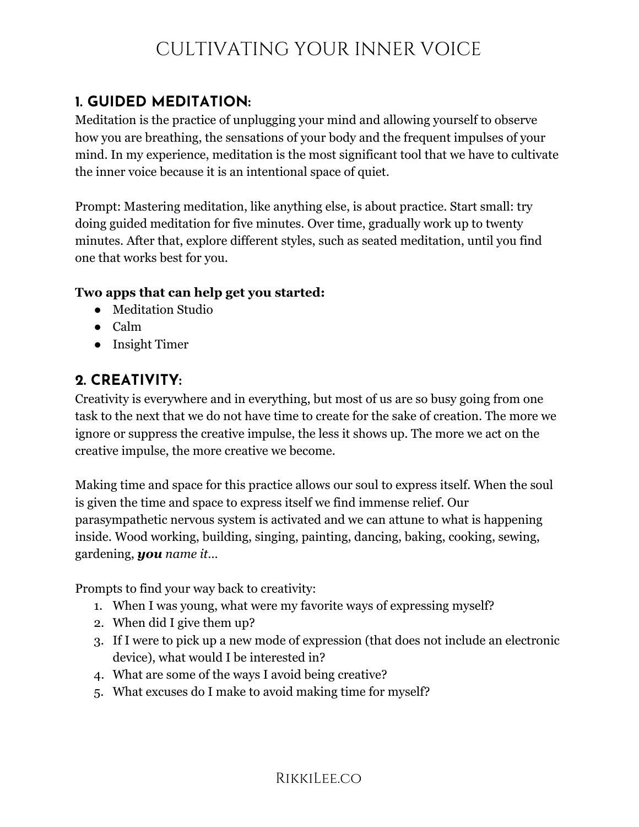## **1. GUIDED MEDITATION:**

Meditation is the practice of unplugging your mind and allowing yourself to observe how you are breathing, the sensations of your body and the frequent impulses of your mind. In my experience, meditation is the most significant tool that we have to cultivate the inner voice because it is an intentional space of quiet.

Prompt: Mastering meditation, like anything else, is about practice. Start small: try doing guided meditation for five minutes. Over time, gradually work up to twenty minutes. After that, explore different styles, such as seated meditation, until you find one that works best for you.

#### **Two apps that can help get you started:**

- Meditation Studio
- Calm
- Insight Timer

## **2. CREATIVITY:**

Creativity is everywhere and in everything, but most of us are so busy going from one task to the next that we do not have time to create for the sake of creation. The more we ignore or suppress the creative impulse, the less it shows up. The more we act on the creative impulse, the more creative we become.

Making time and space for this practice allows our soul to express itself. When the soul is given the time and space to express itself we find immense relief. Our parasympathetic nervous system is activated and we can attune to what is happening inside. Wood working, building, singing, painting, dancing, baking, cooking, sewing, gardening, *you name it*…

Prompts to find your way back to creativity:

- 1. When I was young, what were my favorite ways of expressing myself?
- 2. When did I give them up?
- 3. If I were to pick up a new mode of expression (that does not include an electronic device), what would I be interested in?
- 4. What are some of the ways I avoid being creative?
- 5. What excuses do I make to avoid making time for myself?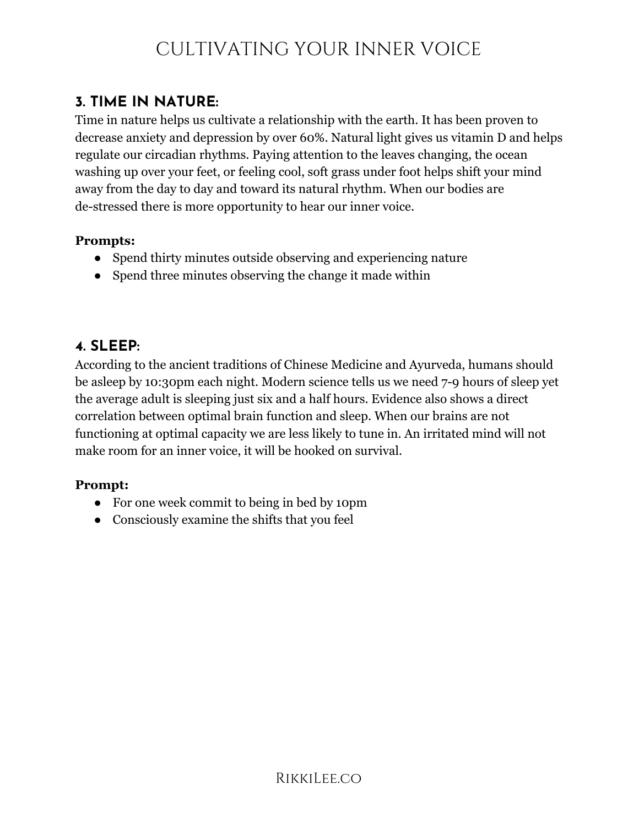### **3. TIME IN NATURE:**

Time in nature helps us cultivate a relationship with the earth. It has been proven to decrease anxiety and depression by over 60%. Natural light gives us vitamin D and helps regulate our circadian rhythms. Paying attention to the leaves changing, the ocean washing up over your feet, or feeling cool, soft grass under foot helps shift your mind away from the day to day and toward its natural rhythm. When our bodies are de-stressed there is more opportunity to hear our inner voice.

#### **Prompts:**

- Spend thirty minutes outside observing and experiencing nature
- Spend three minutes observing the change it made within

### **4. SLEEP:**

According to the ancient traditions of Chinese Medicine and Ayurveda, humans should be asleep by 10:30pm each night. Modern science tells us we need 7-9 hours of sleep yet the average adult is sleeping just six and a half hours. Evidence also shows a direct correlation between optimal brain function and sleep. When our brains are not functioning at optimal capacity we are less likely to tune in. An irritated mind will not make room for an inner voice, it will be hooked on survival.

#### **Prompt:**

- For one week commit to being in bed by 10pm
- Consciously examine the shifts that you feel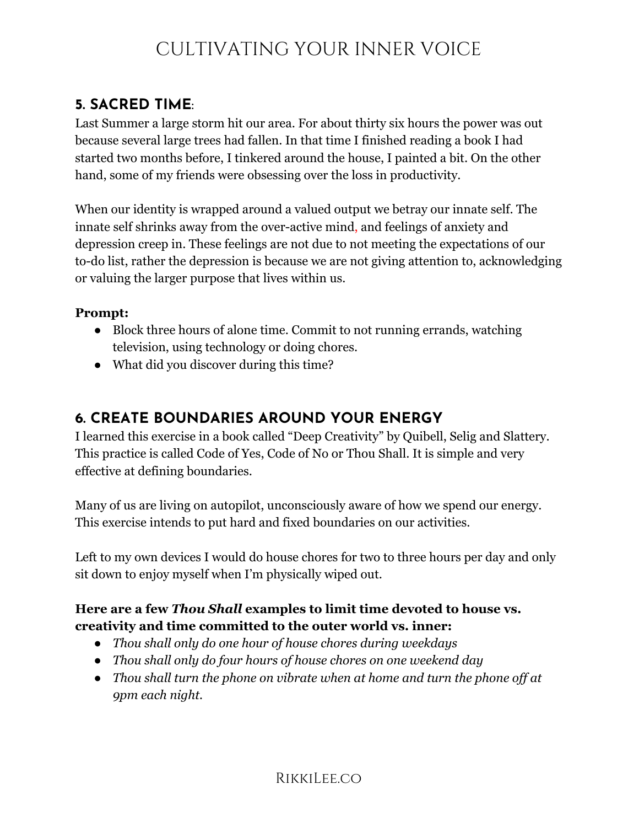## **5. SACRED TIME**:

Last Summer a large storm hit our area. For about thirty six hours the power was out because several large trees had fallen. In that time I finished reading a book I had started two months before, I tinkered around the house, I painted a bit. On the other hand, some of my friends were obsessing over the loss in productivity.

When our identity is wrapped around a valued output we betray our innate self. The innate self shrinks away from the over-active mind, and feelings of anxiety and depression creep in. These feelings are not due to not meeting the expectations of our to-do list, rather the depression is because we are not giving attention to, acknowledging or valuing the larger purpose that lives within us.

#### **Prompt:**

- Block three hours of alone time. Commit to not running errands, watching television, using technology or doing chores.
- What did you discover during this time?

## **6. CREATE BOUNDARIES AROUND YOUR ENERGY**

I learned this exercise in a book called "Deep Creativity" by Quibell, Selig and Slattery. This practice is called Code of Yes, Code of No or Thou Shall. It is simple and very effective at defining boundaries.

Many of us are living on autopilot, unconsciously aware of how we spend our energy. This exercise intends to put hard and fixed boundaries on our activities.

Left to my own devices I would do house chores for two to three hours per day and only sit down to enjoy myself when I'm physically wiped out.

#### **Here are a few** *Thou Shall* **examples to limit time devoted to house vs. creativity and time committed to the outer world vs. inner:**

- *● Thou shall only do one hour of house chores during weekdays*
- *● Thou shall only do four hours of house chores on one weekend day*
- *● Thou shall turn the phone on vibrate when at home and turn the phone off at 9pm each night.*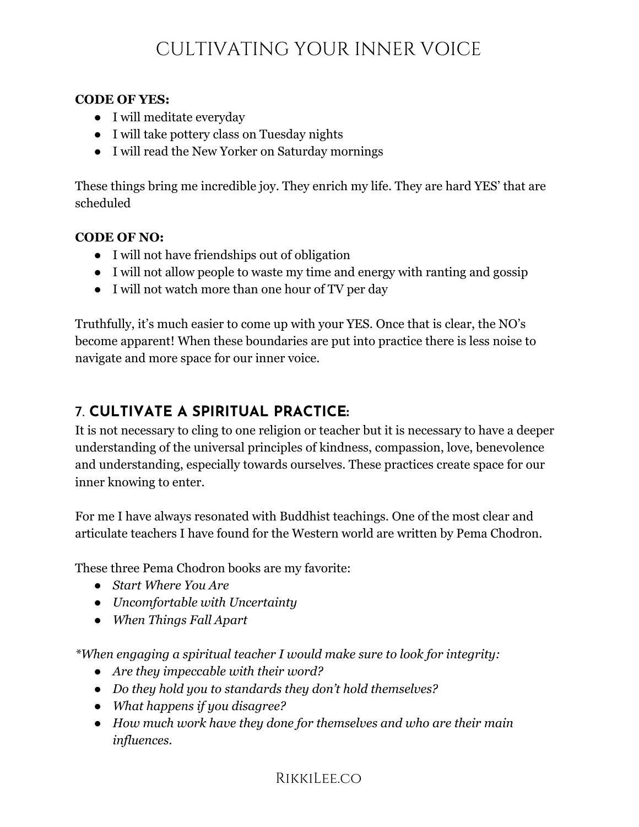#### **CODE OF YES:**

- I will meditate everyday
- I will take pottery class on Tuesday nights
- I will read the New Yorker on Saturday mornings

These things bring me incredible joy. They enrich my life. They are hard YES' that are scheduled

#### **CODE OF NO:**

- I will not have friendships out of obligation
- I will not allow people to waste my time and energy with ranting and gossip
- I will not watch more than one hour of TV per day

Truthfully, it's much easier to come up with your YES. Once that is clear, the NO's become apparent! When these boundaries are put into practice there is less noise to navigate and more space for our inner voice.

### 7. **CULTIVATE A SPIRITUAL PRACTICE:**

It is not necessary to cling to one religion or teacher but it is necessary to have a deeper understanding of the universal principles of kindness, compassion, love, benevolence and understanding, especially towards ourselves. These practices create space for our inner knowing to enter.

For me I have always resonated with Buddhist teachings. One of the most clear and articulate teachers I have found for the Western world are written by Pema Chodron.

These three Pema Chodron books are my favorite:

- *● Start Where You Are*
- *● Uncomfortable with Uncertainty*
- *● When Things Fall Apart*

*\*When engaging a spiritual teacher I would make sure to look for integrity:*

- *● Are they impeccable with their word?*
- *● Do they hold you to standards they don't hold themselves?*
- *● What happens if you disagree?*
- *● How much work have they done for themselves and who are their main influences.*

#### **RIKKILEE.CO**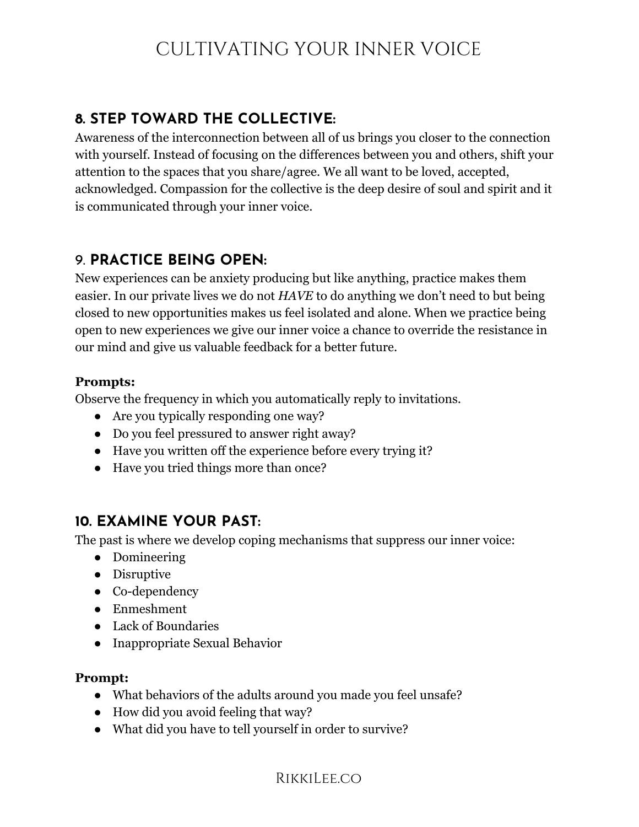## **8. STEP TOWARD THE COLLECTIVE:**

Awareness of the interconnection between all of us brings you closer to the connection with yourself. Instead of focusing on the differences between you and others, shift your attention to the spaces that you share/agree. We all want to be loved, accepted, acknowledged. Compassion for the collective is the deep desire of soul and spirit and it is communicated through your inner voice.

### 9. **PRACTICE BEING OPEN:**

New experiences can be anxiety producing but like anything, practice makes them easier. In our private lives we do not *HAVE* to do anything we don't need to but being closed to new opportunities makes us feel isolated and alone. When we practice being open to new experiences we give our inner voice a chance to override the resistance in our mind and give us valuable feedback for a better future.

#### **Prompts:**

Observe the frequency in which you automatically reply to invitations.

- Are you typically responding one way?
- Do you feel pressured to answer right away?
- Have you written off the experience before every trying it?
- Have you tried things more than once?

### **10. EXAMINE YOUR PAST:**

The past is where we develop coping mechanisms that suppress our inner voice:

- Domineering
- Disruptive
- Co-dependency
- Enmeshment
- Lack of Boundaries
- Inappropriate Sexual Behavior

#### **Prompt:**

- What behaviors of the adults around you made you feel unsafe?
- How did you avoid feeling that way?
- What did you have to tell yourself in order to survive?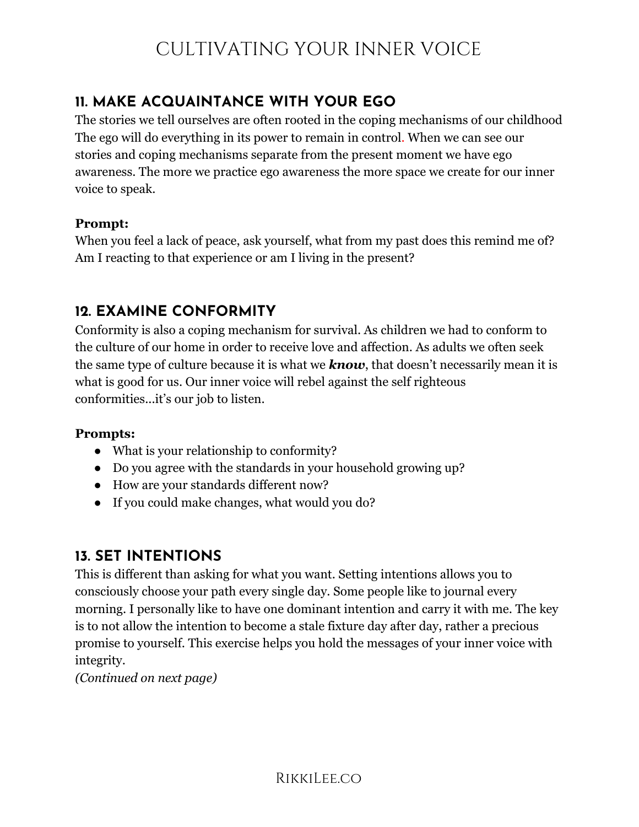## **11. MAKE ACQUAINTANCE WITH YOUR EGO**

The stories we tell ourselves are often rooted in the coping mechanisms of our childhood The ego will do everything in its power to remain in control. When we can see our stories and coping mechanisms separate from the present moment we have ego awareness. The more we practice ego awareness the more space we create for our inner voice to speak.

#### **Prompt:**

When you feel a lack of peace, ask yourself, what from my past does this remind me of? Am I reacting to that experience or am I living in the present?

## **12. EXAMINE CONFORMITY**

Conformity is also a coping mechanism for survival. As children we had to conform to the culture of our home in order to receive love and affection. As adults we often seek the same type of culture because it is what we *know*, that doesn't necessarily mean it is what is good for us. Our inner voice will rebel against the self righteous conformities...it's our job to listen.

#### **Prompts:**

- What is your relationship to conformity?
- Do you agree with the standards in your household growing up?
- How are your standards different now?
- If you could make changes, what would you do?

### **13. SET INTENTIONS**

This is different than asking for what you want. Setting intentions allows you to consciously choose your path every single day. Some people like to journal every morning. I personally like to have one dominant intention and carry it with me. The key is to not allow the intention to become a stale fixture day after day, rather a precious promise to yourself. This exercise helps you hold the messages of your inner voice with integrity.

*(Continued on next page)*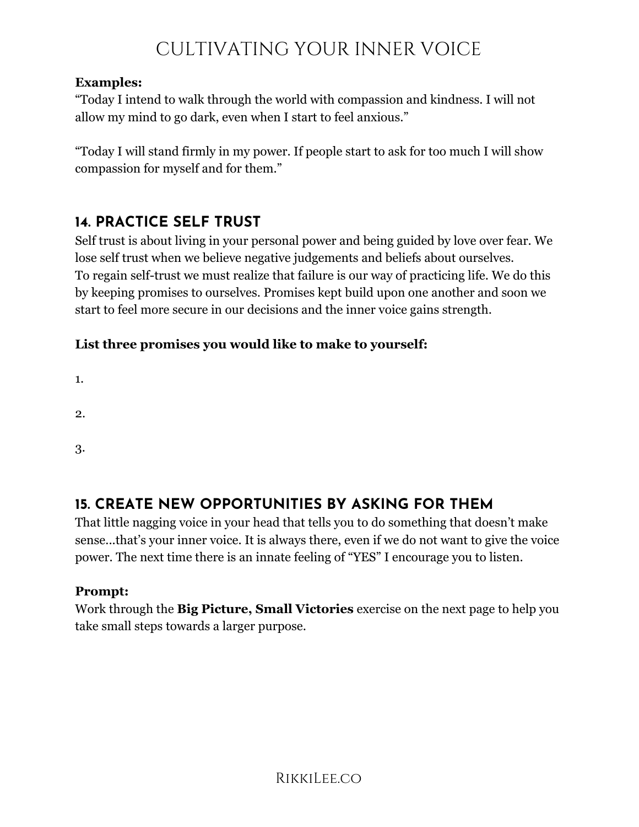#### **Examples:**

"Today I intend to walk through the world with compassion and kindness. I will not allow my mind to go dark, even when I start to feel anxious."

"Today I will stand firmly in my power. If people start to ask for too much I will show compassion for myself and for them."

## **14. PRACTICE SELF TRUST**

Self trust is about living in your personal power and being guided by love over fear. We lose self trust when we believe negative judgements and beliefs about ourselves. To regain self-trust we must realize that failure is our way of practicing life. We do this by keeping promises to ourselves. Promises kept build upon one another and soon we start to feel more secure in our decisions and the inner voice gains strength.

#### **List three promises you would like to make to yourself:**

1.

- 2.
- 3.

## **15. CREATE NEW OPPORTUNITIES BY ASKING FOR THEM**

That little nagging voice in your head that tells you to do something that doesn't make sense...that's your inner voice. It is always there, even if we do not want to give the voice power. The next time there is an innate feeling of "YES" I encourage you to listen.

#### **Prompt:**

Work through the **Big Picture, Small Victories** exercise on the next page to help you take small steps towards a larger purpose.